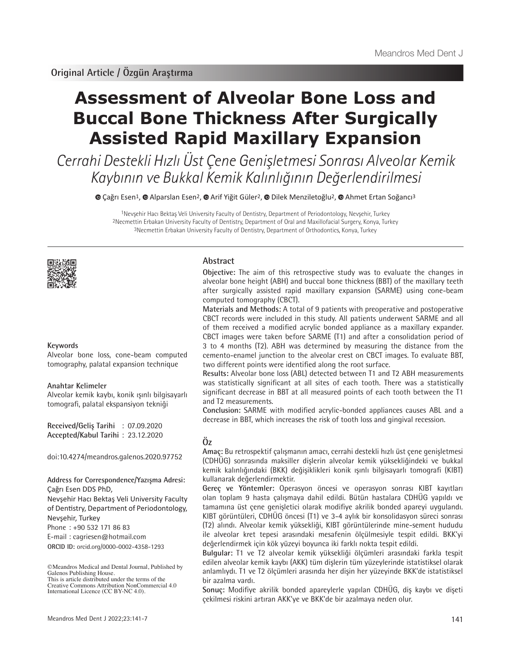# **Assessment of Alveolar Bone Loss and Buccal Bone Thickness After Surgically Assisted Rapid Maxillary Expansion**

Cerrahi Destekli Hızlı Üst Çene Genişletmesi Sonrası Alveolar Kemik Kaybının ve Bukkal Kemik Kalınlığının Değerlendirilmesi

Çağrı Esen1,Alparslan Esen2,Arif Yiğit Güler2, Dilek Menziletoğlu2,Ahmet Ertan Soğancı3

1Nevşehir Hacı Bektaş Veli University Faculty of Dentistry, Department of Periodontology, Nevşehir, Turkey 2Necmettin Erbakan University Faculty of Dentistry, Department of Oral and Maxillofacial Surgery, Konya, Turkey 3Necmettin Erbakan University Faculty of Dentistry, Department of Orthodontics, Konya, Turkey



## **Keywords**

Alveolar bone loss, cone-beam computed tomography, palatal expansion technique

#### **Anahtar Kelimeler**

Alveolar kemik kaybı, konik ışınlı bilgisayarlı tomografi, palatal ekspansiyon tekniği

**Received/Geliş Tarihi** : 07.09.2020 **Accepted/Kabul Tarihi** : 23.12.2020

doi:10.4274/meandros.galenos.2020.97752

## **Address for Correspondence/Yazışma Adresi:**

Çağrı Esen DDS PhD,

Nevşehir Hacı Bektaş Veli University Faculty of Dentistry, Department of Periodontology, Nevşehir, Turkey

Phone : +90 532 171 86 83

E-mail : cagriesen@hotmail.com

**ORCID ID:** orcid.org/0000-0002-4358-1293

## **Abstract**

**Objective:** The aim of this retrospective study was to evaluate the changes in alveolar bone height (ABH) and buccal bone thickness (BBT) of the maxillary teeth after surgically assisted rapid maxillary expansion (SARME) using cone-beam computed tomography (CBCT).

**Materials and Methods:** A total of 9 patients with preoperative and postoperative CBCT records were included in this study. All patients underwent SARME and all of them received a modified acrylic bonded appliance as a maxillary expander. CBCT images were taken before SARME (T1) and after a consolidation period of 3 to 4 months (T2). ABH was determined by measuring the distance from the cemento-enamel junction to the alveolar crest on CBCT images. To evaluate BBT, two different points were identified along the root surface.

**Results:** Alveolar bone loss (ABL) detected between T1 and T2 ABH measurements was statistically significant at all sites of each tooth. There was a statistically significant decrease in BBT at all measured points of each tooth between the T1 and T2 measurements.

**Conclusion:** SARME with modified acrylic-bonded appliances causes ABL and a decrease in BBT, which increases the risk of tooth loss and gingival recession.

## **Öz**

**Amaç:** Bu retrospektif çalışmanın amacı, cerrahi destekli hızlı üst çene genişletmesi (CDHÜG) sonrasında maksiller dişlerin alveolar kemik yüksekliğindeki ve bukkal kemik kalınlığındaki (BKK) değişiklikleri konik ışınlı bilgisayarlı tomografi (KIBT) kullanarak değerlendirmektir.

**Gereç ve Yöntemler:** Operasyon öncesi ve operasyon sonrası KIBT kayıtları olan toplam 9 hasta çalışmaya dahil edildi. Bütün hastalara CDHÜG yapıldı ve tamamına üst çene genişletici olarak modifiye akrilik bonded apareyi uygulandı. KIBT görüntüleri, CDHÜG öncesi (T1) ve 3-4 aylık bir konsolidasyon süreci sonrası (T2) alındı. Alveolar kemik yüksekliği, KIBT görüntülerinde mine-sement hududu ile alveolar kret tepesi arasındaki mesafenin ölçülmesiyle tespit edildi. BKK'yi değerlendirmek için kök yüzeyi boyunca iki farklı nokta tespit edildi.

**Bulgular:** T1 ve T2 alveolar kemik yüksekliği ölçümleri arasındaki farkla tespit edilen alveolar kemik kaybı (AKK) tüm dişlerin tüm yüzeylerinde istatistiksel olarak anlamlıydı. T1 ve T2 ölçümleri arasında her dişin her yüzeyinde BKK'de istatistiksel bir azalma vardı.

**Sonuç:** Modifiye akrilik bonded apareylerle yapılan CDHÜG, diş kaybı ve dişeti çekilmesi riskini artıran AKK'ye ve BKK'de bir azalmaya neden olur.

<sup>©</sup>Meandros Medical and Dental Journal, Published by Galenos Publishing House. This is article distributed under the terms of the

Creative Commons Attribution NonCommercial 4.0 International Licence (CC BY-NC 4.0).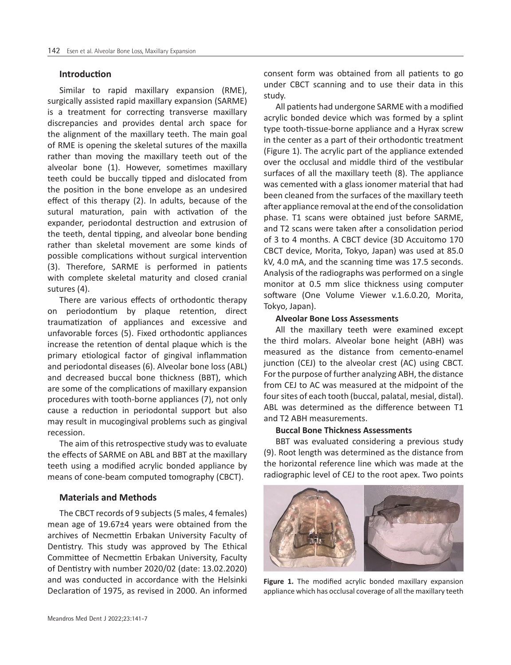## **Introduction**

Similar to rapid maxillary expansion (RME), surgically assisted rapid maxillary expansion (SARME) is a treatment for correcting transverse maxillary discrepancies and provides dental arch space for the alignment of the maxillary teeth. The main goal of RME is opening the skeletal sutures of the maxilla rather than moving the maxillary teeth out of the alveolar bone (1). However, sometimes maxillary teeth could be buccally tipped and dislocated from the position in the bone envelope as an undesired effect of this therapy (2). In adults, because of the sutural maturation, pain with activation of the expander, periodontal destruction and extrusion of the teeth, dental tipping, and alveolar bone bending rather than skeletal movement are some kinds of possible complications without surgical intervention (3). Therefore, SARME is performed in patients with complete skeletal maturity and closed cranial sutures (4).

There are various effects of orthodontic therapy on periodontium by plaque retention, direct traumatization of appliances and excessive and unfavorable forces (5). Fixed orthodontic appliances increase the retention of dental plaque which is the primary etiological factor of gingival inflammation and periodontal diseases (6). Alveolar bone loss (ABL) and decreased buccal bone thickness (BBT), which are some of the complications of maxillary expansion procedures with tooth-borne appliances (7), not only cause a reduction in periodontal support but also may result in mucogingival problems such as gingival recession.

The aim of this retrospective study was to evaluate the effects of SARME on ABL and BBT at the maxillary teeth using a modified acrylic bonded appliance by means of cone-beam computed tomography (CBCT).

## **Materials and Methods**

The CBCT records of 9 subjects (5 males, 4 females) mean age of 19.67±4 years were obtained from the archives of Necmettin Erbakan University Faculty of Dentistry. This study was approved by The Ethical Committee of Necmettin Erbakan University, Faculty of Dentistry with number 2020/02 (date: 13.02.2020) and was conducted in accordance with the Helsinki Declaration of 1975, as revised in 2000. An informed

consent form was obtained from all patients to go under CBCT scanning and to use their data in this study.

All patients had undergone SARME with a modified acrylic bonded device which was formed by a splint type tooth-tissue-borne appliance and a Hyrax screw in the center as a part of their orthodontic treatment (Figure 1). The acrylic part of the appliance extended over the occlusal and middle third of the vestibular surfaces of all the maxillary teeth (8). The appliance was cemented with a glass ionomer material that had been cleaned from the surfaces of the maxillary teeth after appliance removal at the end of the consolidation phase. T1 scans were obtained just before SARME, and T2 scans were taken after a consolidation period of 3 to 4 months. A CBCT device (3D Accuitomo 170 CBCT device, Morita, Tokyo, Japan) was used at 85.0 kV, 4.0 mA, and the scanning time was 17.5 seconds. Analysis of the radiographs was performed on a single monitor at 0.5 mm slice thickness using computer software (One Volume Viewer v.1.6.0.20, Morita, Tokyo, Japan).

#### **Alveolar Bone Loss Assessments**

All the maxillary teeth were examined except the third molars. Alveolar bone height (ABH) was measured as the distance from cemento-enamel junction (CEJ) to the alveolar crest (AC) using CBCT. For the purpose of further analyzing ABH, the distance from CEJ to AC was measured at the midpoint of the four sites of each tooth (buccal, palatal, mesial, distal). ABL was determined as the difference between T1 and T2 ABH measurements.

#### **Buccal Bone Thickness Assessments**

BBT was evaluated considering a previous study (9). Root length was determined as the distance from the horizontal reference line which was made at the radiographic level of CEJ to the root apex. Two points



**Figure 1.** The modified acrylic bonded maxillary expansion appliance which has occlusal coverage of all the maxillary teeth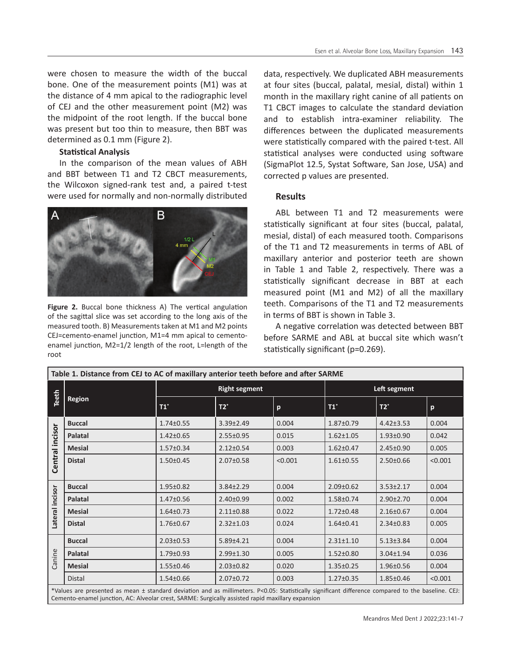were chosen to measure the width of the buccal bone. One of the measurement points (M1) was at the distance of 4 mm apical to the radiographic level of CEJ and the other measurement point (M2) was the midpoint of the root length. If the buccal bone was present but too thin to measure, then BBT was determined as 0.1 mm (Figure 2).

#### **Statistical Analysis**

In the comparison of the mean values of ABH and BBT between T1 and T2 CBCT measurements, the Wilcoxon signed-rank test and, a paired t-test were used for normally and non-normally distributed



**Figure 2.** Buccal bone thickness A) The vertical angulation of the sagittal slice was set according to the long axis of the measured tooth. B) Measurements taken at M1 and M2 points CEJ=cemento-enamel junction, M1=4 mm apical to cementoenamel junction, M2=1/2 length of the root, L=length of the root

data, respectively. We duplicated ABH measurements at four sites (buccal, palatal, mesial, distal) within 1 month in the maxillary right canine of all patients on T1 CBCT images to calculate the standard deviation and to establish intra-examiner reliability. The differences between the duplicated measurements were statistically compared with the paired t-test. All statistical analyses were conducted using software (SigmaPlot 12.5, Systat Software, San Jose, USA) and corrected p values are presented.

## **Results**

ABL between T1 and T2 measurements were statistically significant at four sites (buccal, palatal, mesial, distal) of each measured tooth. Comparisons of the T1 and T2 measurements in terms of ABL of maxillary anterior and posterior teeth are shown in Table 1 and Table 2, respectively. There was a statistically significant decrease in BBT at each measured point (M1 and M2) of all the maxillary teeth. Comparisons of the T1 and T2 measurements in terms of BBT is shown in Table 3.

A negative correlation was detected between BBT before SARME and ABL at buccal site which wasn't statistically significant (p=0.269).

| Table 1. Distance from CEJ to AC of maxillary anterior teeth before and after SARME |                      |                 |         |                 |                 |         |  |  |  |  |
|-------------------------------------------------------------------------------------|----------------------|-----------------|---------|-----------------|-----------------|---------|--|--|--|--|
| Teeth<br><b>Region</b>                                                              | <b>Right segment</b> |                 |         | Left segment    |                 |         |  |  |  |  |
|                                                                                     | $T1^*$               | $T2^*$          | p       | $T1^*$          | $T2^*$          | p       |  |  |  |  |
| <b>Buccal</b>                                                                       | $1.74 \pm 0.55$      | $3.39 \pm 2.49$ | 0.004   | $1.87 \pm 0.79$ | $4.42 \pm 3.53$ | 0.004   |  |  |  |  |
| Palatal                                                                             | $1.42 \pm 0.65$      | $2.55 \pm 0.95$ | 0.015   | $1.62 \pm 1.05$ | $1.93 \pm 0.90$ | 0.042   |  |  |  |  |
| <b>Mesial</b>                                                                       | $1.57 \pm 0.34$      | $2.12 \pm 0.54$ | 0.003   | $1.62 \pm 0.47$ | $2.45 \pm 0.90$ | 0.005   |  |  |  |  |
| <b>Distal</b>                                                                       | $1.50 \pm 0.45$      | $2.07 \pm 0.58$ | < 0.001 | $1.61 \pm 0.55$ | $2.50 \pm 0.66$ | < 0.001 |  |  |  |  |
| <b>Buccal</b>                                                                       | $1.95 \pm 0.82$      | $3.84 \pm 2.29$ | 0.004   | $2.09 \pm 0.62$ | $3.53 \pm 2.17$ | 0.004   |  |  |  |  |
| Palatal                                                                             | $1.47 \pm 0.56$      | $2.40 \pm 0.99$ | 0.002   | $1.58 \pm 0.74$ | $2.90 \pm 2.70$ | 0.004   |  |  |  |  |
| <b>Mesial</b>                                                                       | $1.64 \pm 0.73$      | $2.11 \pm 0.88$ | 0.022   | $1.72 \pm 0.48$ | $2.16 \pm 0.67$ | 0.004   |  |  |  |  |
| <b>Distal</b>                                                                       | $1.76 \pm 0.67$      | $2.32 \pm 1.03$ | 0.024   | $1.64 \pm 0.41$ | $2.34 \pm 0.83$ | 0.005   |  |  |  |  |
| <b>Buccal</b>                                                                       | $2.03 \pm 0.53$      | $5.89 \pm 4.21$ | 0.004   | $2.31 \pm 1.10$ | $5.13 \pm 3.84$ | 0.004   |  |  |  |  |
| <b>Palatal</b>                                                                      | $1.79 \pm 0.93$      | $2.99 \pm 1.30$ | 0.005   | $1.52 \pm 0.80$ | 3.04±1.94       | 0.036   |  |  |  |  |
| <b>Mesial</b>                                                                       | $1.55 \pm 0.46$      | $2.03 \pm 0.82$ | 0.020   | $1.35 \pm 0.25$ | 1.96±0.56       | 0.004   |  |  |  |  |
| Distal                                                                              | $1.54 \pm 0.66$      | $2.07 \pm 0.72$ | 0.003   | $1.27 \pm 0.35$ | $1.85 \pm 0.46$ | < 0.001 |  |  |  |  |
|                                                                                     |                      |                 |         |                 |                 |         |  |  |  |  |

\*Values are presented as mean ± standard deviation and as millimeters. P<0.05: Statistically significant difference compared to the baseline. CEJ: Cemento-enamel junction, AC: Alveolar crest, SARME: Surgically assisted rapid maxillary expansion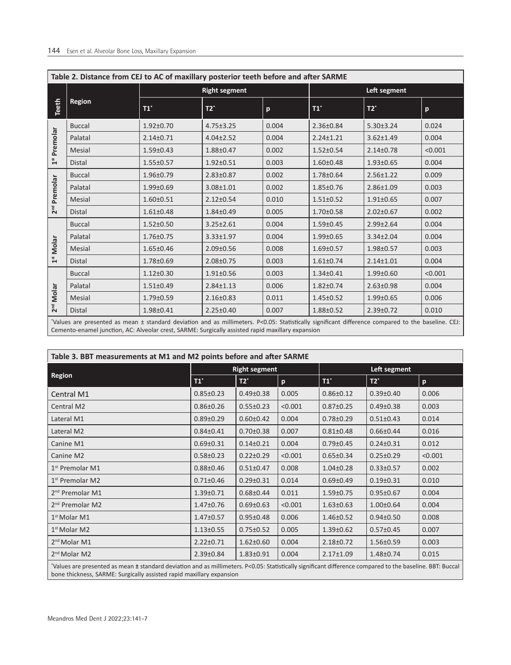| Left segment<br>$\mathsf{p}$ |
|------------------------------|
|                              |
|                              |
| 0.024                        |
| 0.004                        |
| < 0.001                      |
| 0.004                        |
| 0.009                        |
| 0.003                        |
| 0.007                        |
| 0.002                        |
| 0.004                        |
| 0.004                        |
| 0.003                        |
| 0.004                        |
| < 0.001                      |
| 0.004                        |
| 0.006                        |
| 0.010                        |
|                              |

\* Values are presented as mean ± standard deviation and as millimeters. P<0.05: Statistically significant difference compared to the baseline. CEJ: Cemento-enamel junction, AC: Alveolar crest, SARME: Surgically assisted rapid maxillary expansion

| Table 3. BBT measurements at M1 and M2 points before and after SARME                                                                                                                                                              |                 |                      |         |                 |                 |         |  |  |  |  |  |
|-----------------------------------------------------------------------------------------------------------------------------------------------------------------------------------------------------------------------------------|-----------------|----------------------|---------|-----------------|-----------------|---------|--|--|--|--|--|
|                                                                                                                                                                                                                                   |                 | <b>Right segment</b> |         | Left segment    |                 |         |  |  |  |  |  |
| <b>Region</b>                                                                                                                                                                                                                     | $T1^*$          | $T2^*$               | p       | $T1^*$          | $T2^*$          | p       |  |  |  |  |  |
| Central M1                                                                                                                                                                                                                        | $0.85 \pm 0.23$ | $0.49 \pm 0.38$      | 0.005   | $0.86 \pm 0.12$ | $0.39 \pm 0.40$ | 0.006   |  |  |  |  |  |
| <b>Central M2</b>                                                                                                                                                                                                                 | $0.86 \pm 0.26$ | $0.55 \pm 0.23$      | < 0.001 | $0.87 \pm 0.25$ | $0.49 \pm 0.38$ | 0.003   |  |  |  |  |  |
| Lateral M1                                                                                                                                                                                                                        | $0.89 \pm 0.29$ | $0.60 \pm 0.42$      | 0.004   | $0.78 + 0.29$   | $0.51 \pm 0.43$ | 0.014   |  |  |  |  |  |
| Lateral M2                                                                                                                                                                                                                        | $0.84 \pm 0.41$ | $0.70 \pm 0.38$      | 0.007   | $0.81 \pm 0.48$ | $0.66 \pm 0.44$ | 0.016   |  |  |  |  |  |
| Canine M1                                                                                                                                                                                                                         | $0.69 \pm 0.31$ | $0.14 + 0.21$        | 0.004   | $0.79 \pm 0.45$ | $0.24 \pm 0.31$ | 0.012   |  |  |  |  |  |
| Canine M2                                                                                                                                                                                                                         | $0.58 \pm 0.23$ | $0.22 \pm 0.29$      | < 0.001 | $0.65 \pm 0.34$ | $0.25 \pm 0.29$ | < 0.001 |  |  |  |  |  |
| $1st$ Premolar M1                                                                                                                                                                                                                 | $0.88 \pm 0.46$ | $0.51 \pm 0.47$      | 0.008   | $1.04 \pm 0.28$ | $0.33 \pm 0.57$ | 0.002   |  |  |  |  |  |
| $1st$ Premolar M2                                                                                                                                                                                                                 | $0.71 \pm 0.46$ | $0.29 \pm 0.31$      | 0.014   | $0.69 \pm 0.49$ | $0.19 \pm 0.31$ | 0.010   |  |  |  |  |  |
| 2 <sup>nd</sup> Premolar M1                                                                                                                                                                                                       | $1.39 \pm 0.71$ | $0.68 \pm 0.44$      | 0.011   | $1.59 \pm 0.75$ | $0.95 \pm 0.67$ | 0.004   |  |  |  |  |  |
| 2 <sup>nd</sup> Premolar M2                                                                                                                                                                                                       | $1.47 \pm 0.76$ | $0.69 \pm 0.63$      | < 0.001 | $1.63 \pm 0.63$ | $1.00 \pm 0.64$ | 0.004   |  |  |  |  |  |
| $1st$ Molar M1                                                                                                                                                                                                                    | $1.47 \pm 0.57$ | $0.95 \pm 0.48$      | 0.006   | $1.46 \pm 0.52$ | $0.94 \pm 0.50$ | 0.008   |  |  |  |  |  |
| $1st$ Molar M2                                                                                                                                                                                                                    | $1.13 \pm 0.55$ | $0.75 \pm 0.52$      | 0.005   | $1.39 \pm 0.62$ | $0.57 \pm 0.45$ | 0.007   |  |  |  |  |  |
| $2nd$ Molar M1                                                                                                                                                                                                                    | $2.22 \pm 0.71$ | $1.62 \pm 0.60$      | 0.004   | $2.18 \pm 0.72$ | $1.56 \pm 0.59$ | 0.003   |  |  |  |  |  |
| 2 <sup>nd</sup> Molar M2                                                                                                                                                                                                          | $2.39 \pm 0.84$ | $1.83 \pm 0.91$      | 0.004   | $2.17 \pm 1.09$ | $1.48 \pm 0.74$ | 0.015   |  |  |  |  |  |
| *Values are presented as mean ± standard deviation and as millimeters. P<0.05: Statistically significant difference compared to the baseline. BBT: Buccal<br>bone thickness, SARME: Surgically assisted rapid maxillary expansion |                 |                      |         |                 |                 |         |  |  |  |  |  |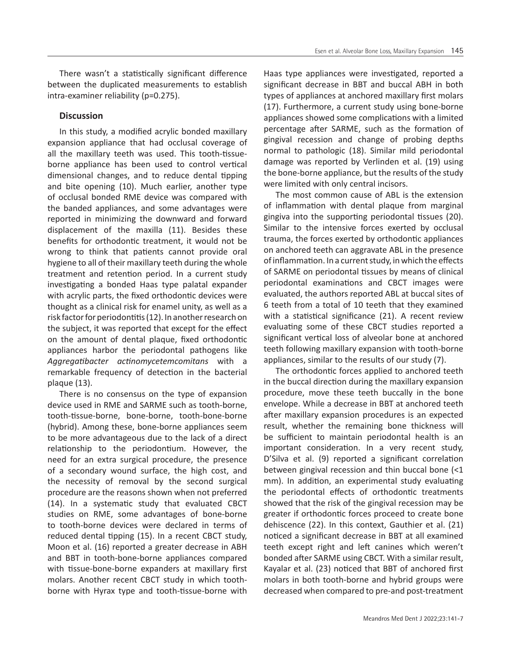There wasn't a statistically significant difference between the duplicated measurements to establish intra-examiner reliability (p=0.275).

## **Discussion**

In this study, a modified acrylic bonded maxillary expansion appliance that had occlusal coverage of all the maxillary teeth was used. This tooth-tissueborne appliance has been used to control vertical dimensional changes, and to reduce dental tipping and bite opening (10). Much earlier, another type of occlusal bonded RME device was compared with the banded appliances, and some advantages were reported in minimizing the downward and forward displacement of the maxilla (11). Besides these benefits for orthodontic treatment, it would not be wrong to think that patients cannot provide oral hygiene to all of their maxillary teeth during the whole treatment and retention period. In a current study investigating a bonded Haas type palatal expander with acrylic parts, the fixed orthodontic devices were thought as a clinical risk for enamel unity, as well as a risk factor for periodontitis (12). In another research on the subject, it was reported that except for the effect on the amount of dental plaque, fixed orthodontic appliances harbor the periodontal pathogens like *Aggregatibacter actinomycetemcomitans* with a remarkable frequency of detection in the bacterial plaque (13).

There is no consensus on the type of expansion device used in RME and SARME such as tooth-borne, tooth-tissue-borne, bone-borne, tooth-bone-borne (hybrid). Among these, bone-borne appliances seem to be more advantageous due to the lack of a direct relationship to the periodontium. However, the need for an extra surgical procedure, the presence of a secondary wound surface, the high cost, and the necessity of removal by the second surgical procedure are the reasons shown when not preferred (14). In a systematic study that evaluated CBCT studies on RME, some advantages of bone-borne to tooth-borne devices were declared in terms of reduced dental tipping (15). In a recent CBCT study, Moon et al. (16) reported a greater decrease in ABH and BBT in tooth-bone-borne appliances compared with tissue-bone-borne expanders at maxillary first molars. Another recent CBCT study in which toothborne with Hyrax type and tooth-tissue-borne with

Haas type appliances were investigated, reported a significant decrease in BBT and buccal ABH in both types of appliances at anchored maxillary first molars (17). Furthermore, a current study using bone-borne appliances showed some complications with a limited percentage after SARME, such as the formation of gingival recession and change of probing depths normal to pathologic (18). Similar mild periodontal damage was reported by Verlinden et al. (19) using the bone-borne appliance, but the results of the study were limited with only central incisors.

The most common cause of ABL is the extension of inflammation with dental plaque from marginal gingiva into the supporting periodontal tissues (20). Similar to the intensive forces exerted by occlusal trauma, the forces exerted by orthodontic appliances on anchored teeth can aggravate ABL in the presence of inflammation. In a current study, in which the effects of SARME on periodontal tissues by means of clinical periodontal examinations and CBCT images were evaluated, the authors reported ABL at buccal sites of 6 teeth from a total of 10 teeth that they examined with a statistical significance (21). A recent review evaluating some of these CBCT studies reported a significant vertical loss of alveolar bone at anchored teeth following maxillary expansion with tooth-borne appliances, similar to the results of our study (7).

The orthodontic forces applied to anchored teeth in the buccal direction during the maxillary expansion procedure, move these teeth buccally in the bone envelope. While a decrease in BBT at anchored teeth after maxillary expansion procedures is an expected result, whether the remaining bone thickness will be sufficient to maintain periodontal health is an important consideration. In a very recent study, D'Silva et al. (9) reported a significant correlation between gingival recession and thin buccal bone (<1 mm). In addition, an experimental study evaluating the periodontal effects of orthodontic treatments showed that the risk of the gingival recession may be greater if orthodontic forces proceed to create bone dehiscence (22). In this context, Gauthier et al. (21) noticed a significant decrease in BBT at all examined teeth except right and left canines which weren't bonded after SARME using CBCT. With a similar result, Kayalar et al. (23) noticed that BBT of anchored first molars in both tooth-borne and hybrid groups were decreased when compared to pre-and post-treatment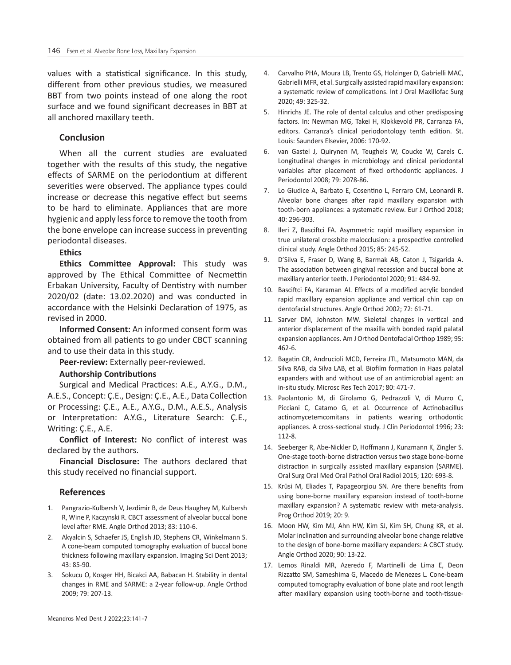values with a statistical significance. In this study, different from other previous studies, we measured BBT from two points instead of one along the root surface and we found significant decreases in BBT at all anchored maxillary teeth.

## **Conclusion**

When all the current studies are evaluated together with the results of this study, the negative effects of SARME on the periodontium at different severities were observed. The appliance types could increase or decrease this negative effect but seems to be hard to eliminate. Appliances that are more hygienic and apply less force to remove the tooth from the bone envelope can increase success in preventing periodontal diseases.

## **Ethics**

**Ethics Committee Approval:** This study was approved by The Ethical Committee of Necmettin Erbakan University, Faculty of Dentistry with number 2020/02 (date: 13.02.2020) and was conducted in accordance with the Helsinki Declaration of 1975, as revised in 2000.

**Informed Consent:** An informed consent form was obtained from all patients to go under CBCT scanning and to use their data in this study.

**Peer-review:** Externally peer-reviewed.

#### **Authorship Contributions**

Surgical and Medical Practices: A.E., A.Y.G., D.M., A.E.S., Concept: Ç.E., Design: Ç.E., A.E., Data Collection or Processing: Ç.E., A.E., A.Y.G., D.M., A.E.S., Analysis or Interpretation: A.Y.G., Literature Search: Ç.E., Writing: Ç.E., A.E.

**Conflict of Interest:** No conflict of interest was declared by the authors.

**Financial Disclosure:** The authors declared that this study received no financial support.

#### **References**

- 1. Pangrazio-Kulbersh V, Jezdimir B, de Deus Haughey M, Kulbersh R, Wine P, Kaczynski R. CBCT assessment of alveolar buccal bone level after RME. Angle Orthod 2013; 83: 110-6.
- 2. Akyalcin S, Schaefer JS, English JD, Stephens CR, Winkelmann S. A cone-beam computed tomography evaluation of buccal bone thickness following maxillary expansion. Imaging Sci Dent 2013; 43: 85-90.
- 3. Sokucu O, Kosger HH, Bicakci AA, Babacan H. Stability in dental changes in RME and SARME: a 2-year follow-up. Angle Orthod 2009; 79: 207-13.
- 4. Carvalho PHA, Moura LB, Trento GS, Holzinger D, Gabrielli MAC, Gabrielli MFR, et al. Surgically assisted rapid maxillary expansion: a systematic review of complications. Int J Oral Maxillofac Surg 2020; 49: 325-32.
- 5. Hinrichs JE. The role of dental calculus and other predisposing factors. In: Newman MG, Takei H, Klokkevold PR, Carranza FA, editors. Carranza's clinical periodontology tenth edition. St. Louis: Saunders Elsevier, 2006: 170-92.
- 6. van Gastel J, Quirynen M, Teughels W, Coucke W, Carels C. Longitudinal changes in microbiology and clinical periodontal variables after placement of fixed orthodontic appliances. J Periodontol 2008; 79: 2078-86.
- 7. Lo Giudice A, Barbato E, Cosentino L, Ferraro CM, Leonardi R. Alveolar bone changes after rapid maxillary expansion with tooth-born appliances: a systematic review. Eur J Orthod 2018; 40: 296-303.
- 8. Ileri Z, Basciftci FA. Asymmetric rapid maxillary expansion in true unilateral crossbite malocclusion: a prospective controlled clinical study. Angle Orthod 2015; 85: 245-52.
- 9. D'Silva E, Fraser D, Wang B, Barmak AB, Caton J, Tsigarida A. The association between gingival recession and buccal bone at maxillary anterior teeth. J Periodontol 2020; 91: 484-92.
- 10. Basciftci FA, Karaman AI. Effects of a modified acrylic bonded rapid maxillary expansion appliance and vertical chin cap on dentofacial structures. Angle Orthod 2002; 72: 61-71.
- 11. Sarver DM, Johnston MW. Skeletal changes in vertical and anterior displacement of the maxilla with bonded rapid palatal expansion appliances. Am J Orthod Dentofacial Orthop 1989; 95: 462-6.
- 12. Bagatin CR, Andrucioli MCD, Ferreira JTL, Matsumoto MAN, da Silva RAB, da Silva LAB, et al. Biofilm formation in Haas palatal expanders with and without use of an antimicrobial agent: an in-situ study. Microsc Res Tech 2017; 80: 471-7.
- 13. Paolantonio M, di Girolamo G, Pedrazzoli V, di Murro C, Picciani C, Catamo G, et al. Occurrence of Actinobacillus actinomycetemcomitans in patients wearing orthodontic appliances. A cross-sectional study. J Clin Periodontol 1996; 23: 112-8.
- 14. Seeberger R, Abe-Nickler D, Hoffmann J, Kunzmann K, Zingler S. One-stage tooth-borne distraction versus two stage bone-borne distraction in surgically assisted maxillary expansion (SARME). Oral Surg Oral Med Oral Pathol Oral Radiol 2015; 120: 693-8.
- 15. Krüsi M, Eliades T, Papageorgiou SN. Are there benefits from using bone-borne maxillary expansion instead of tooth-borne maxillary expansion? A systematic review with meta-analysis. Prog Orthod 2019; 20: 9.
- 16. Moon HW, Kim MJ, Ahn HW, Kim SJ, Kim SH, Chung KR, et al. Molar inclination and surrounding alveolar bone change relative to the design of bone-borne maxillary expanders: A CBCT study. Angle Orthod 2020; 90: 13-22.
- 17. Lemos Rinaldi MR, Azeredo F, Martinelli de Lima E, Deon Rizzatto SM, Sameshima G, Macedo de Menezes L. Cone-beam computed tomography evaluation of bone plate and root length after maxillary expansion using tooth-borne and tooth-tissue-